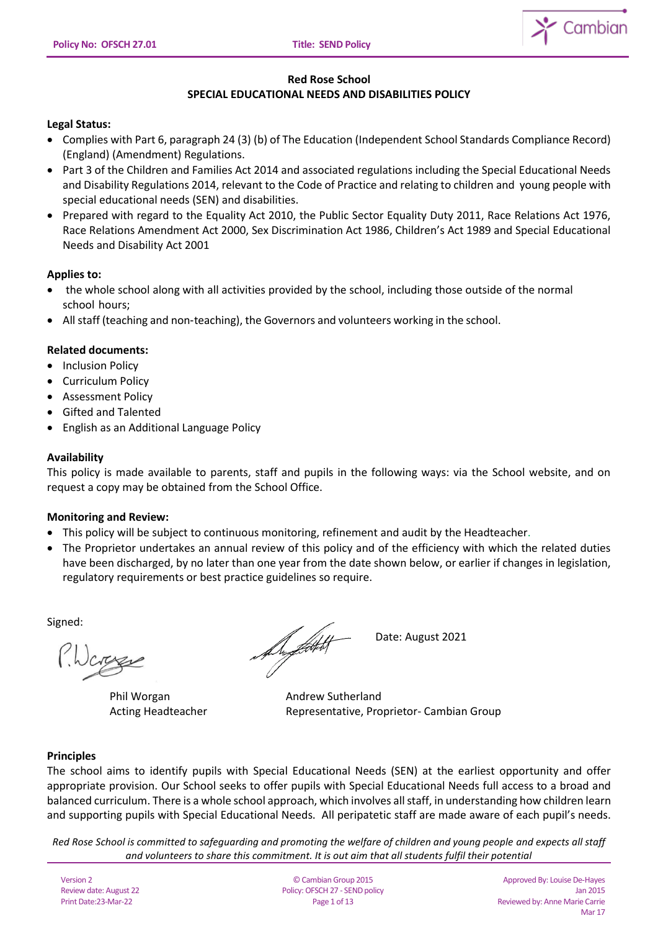

# **Red Rose School SPECIAL EDUCATIONAL NEEDS AND DISABILITIES POLICY**

# **Legal Status:**

- Complies with Part 6, paragraph 24 (3) (b) of The Education (Independent School Standards Compliance Record) (England) (Amendment) Regulations.
- Part 3 of the Children and Families Act 2014 and associated regulations including the Special Educational Needs and Disability Regulations 2014, relevant to the Code of Practice and relating to children and young people with special educational needs (SEN) and disabilities.
- Prepared with regard to the Equality Act 2010, the Public Sector Equality Duty 2011, Race Relations Act 1976, Race Relations Amendment Act 2000, Sex Discrimination Act 1986, Children's Act 1989 and Special Educational Needs and Disability Act 2001

# **Applies to:**

- the whole school along with all activities provided by the school, including those outside of the normal school hours;
- All staff (teaching and non-teaching), the Governors and volunteers working in the school.

# **Related documents:**

- Inclusion Policy
- Curriculum Policy
- Assessment Policy
- Gifted and Talented
- English as an Additional Language Policy

# **Availability**

This policy is made available to parents, staff and pupils in the following ways: via the School website, and on request a copy may be obtained from the School Office.

# **Monitoring and Review:**

- This policy will be subject to continuous monitoring, refinement and audit by the Headteacher.
- The Proprietor undertakes an annual review of this policy and of the efficiency with which the related duties have been discharged, by no later than one year from the date shown below, or earlier if changes in legislation, regulatory requirements or best practice guidelines so require.

Signed:

Phil Worgan **Andrew Sutherland** 

August 2021

Acting Headteacher **Representative, Proprietor- Cambian Group** 

# **Principles**

The school aims to identify pupils with Special Educational Needs (SEN) at the earliest opportunity and offer appropriate provision. Our School seeks to offer pupils with Special Educational Needs full access to a broad and balanced curriculum. There is a whole school approach, which involves all staff, in understanding how children learn and supporting pupils with Special Educational Needs. All peripatetic staff are made aware of each pupil's needs.

*Red Rose School is committed to safeguarding and promoting the welfare of children and young people and expects all staff and volunteers to share this commitment. It is out aim that all students fulfil their potential*

Version 2 Review date: August 22 Print Date:23-Mar-22

© Cambian Group 2015 Policy: OFSCH 27 - SEND policy Page 1 of 13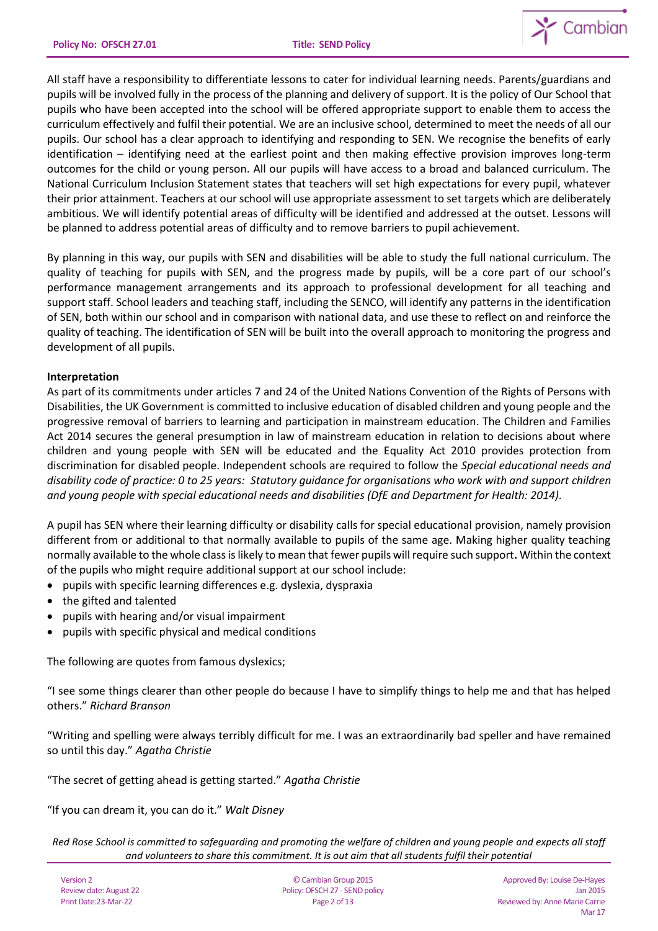

All staff have a responsibility to differentiate lessons to cater for individual learning needs. Parents/guardians and pupils will be involved fully in the process of the planning and delivery of support. It is the policy of Our School that pupils who have been accepted into the school will be offered appropriate support to enable them to access the curriculum effectively and fulfil their potential. We are an inclusive school, determined to meet the needs of all our pupils. Our school has a clear approach to identifying and responding to SEN. We recognise the benefits of early identification – identifying need at the earliest point and then making effective provision improves long-term outcomes for the child or young person. All our pupils will have access to a broad and balanced curriculum. The National Curriculum Inclusion Statement states that teachers will set high expectations for every pupil, whatever their prior attainment. Teachers at our school will use appropriate assessment to set targets which are deliberately ambitious. We will identify potential areas of difficulty will be identified and addressed at the outset. Lessons will be planned to address potential areas of difficulty and to remove barriers to pupil achievement.

By planning in this way, our pupils with SEN and disabilities will be able to study the full national curriculum. The quality of teaching for pupils with SEN, and the progress made by pupils, will be a core part of our school's performance management arrangements and its approach to professional development for all teaching and support staff. School leaders and teaching staff, including the SENCO, will identify any patterns in the identification of SEN, both within our school and in comparison with national data, and use these to reflect on and reinforce the quality of teaching. The identification of SEN will be built into the overall approach to monitoring the progress and development of all pupils.

## **Interpretation**

As part of its commitments under articles 7 and 24 of the United Nations Convention of the Rights of Persons with Disabilities, the UK Government is committed to inclusive education of disabled children and young people and the progressive removal of barriers to learning and participation in mainstream education. The Children and Families Act 2014 secures the general presumption in law of mainstream education in relation to decisions about where children and young people with SEN will be educated and the Equality Act 2010 provides protection from discrimination for disabled people. Independent schools are required to follow the *Special educational needs and disability code of practice: 0 to 25 years: Statutory guidance for organisations who work with and support children and young people with special educational needs and disabilities (DfE and Department for Health: 2014).*

A pupil has SEN where their learning difficulty or disability calls for special educational provision, namely provision different from or additional to that normally available to pupils of the same age. Making higher quality teaching normally available to the whole class is likely to mean that fewer pupils will require such support**.** Within the context of the pupils who might require additional support at our school include:

- pupils with specific learning differences e.g. dyslexia, dyspraxia
- the gifted and talented
- pupils with hearing and/or visual impairment
- pupils with specific physical and medical conditions

The following are quotes from famous dyslexics;

"I see some things clearer than other people do because I have to simplify things to help me and that has helped others." *Richard Branson*

"Writing and spelling were always terribly difficult for me. I was an extraordinarily bad speller and have remained so until this day." *Agatha Christie*

"The secret of getting ahead is getting started." *Agatha Christie*

"If you can dream it, you can do it." *Walt Disney*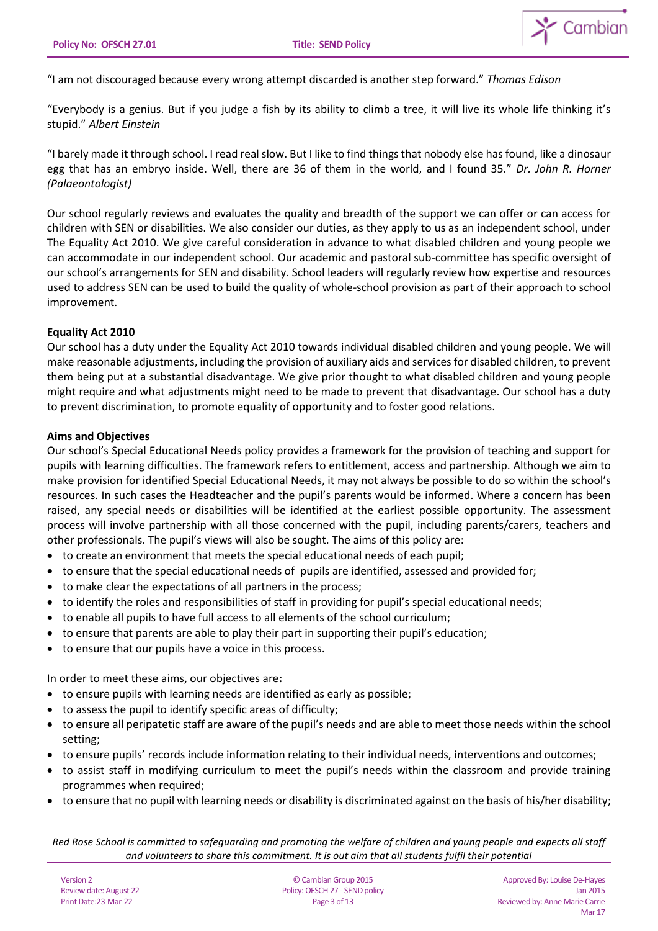

"I am not discouraged because every wrong attempt discarded is another step forward." *Thomas Edison*

"Everybody is a genius. But if you judge a fish by its ability to climb a tree, it will live its whole life thinking it's stupid." *Albert Einstein*

"I barely made it through school. I read real slow. But I like to find things that nobody else has found, like a dinosaur egg that has an embryo inside. Well, there are 36 of them in the world, and I found 35." *Dr. John R. Horner (Palaeontologist)*

Our school regularly reviews and evaluates the quality and breadth of the support we can offer or can access for children with SEN or disabilities. We also consider our duties, as they apply to us as an independent school, under The Equality Act 2010. We give careful consideration in advance to what disabled children and young people we can accommodate in our independent school. Our academic and pastoral sub-committee has specific oversight of our school's arrangements for SEN and disability. School leaders will regularly review how expertise and resources used to address SEN can be used to build the quality of whole-school provision as part of their approach to school improvement.

# **Equality Act 2010**

Our school has a duty under the Equality Act 2010 towards individual disabled children and young people. We will make reasonable adjustments, including the provision of auxiliary aids and services for disabled children, to prevent them being put at a substantial disadvantage. We give prior thought to what disabled children and young people might require and what adjustments might need to be made to prevent that disadvantage. Our school has a duty to prevent discrimination, to promote equality of opportunity and to foster good relations.

## **Aims and Objectives**

Our school's Special Educational Needs policy provides a framework for the provision of teaching and support for pupils with learning difficulties. The framework refers to entitlement, access and partnership. Although we aim to make provision for identified Special Educational Needs, it may not always be possible to do so within the school's resources. In such cases the Headteacher and the pupil's parents would be informed. Where a concern has been raised, any special needs or disabilities will be identified at the earliest possible opportunity. The assessment process will involve partnership with all those concerned with the pupil, including parents/carers, teachers and other professionals. The pupil's views will also be sought. The aims of this policy are:

- to create an environment that meets the special educational needs of each pupil;
- to ensure that the special educational needs of pupils are identified, assessed and provided for;
- to make clear the expectations of all partners in the process;
- to identify the roles and responsibilities of staff in providing for pupil's special educational needs;
- to enable all pupils to have full access to all elements of the school curriculum;
- to ensure that parents are able to play their part in supporting their pupil's education;
- to ensure that our pupils have a voice in this process.

In order to meet these aims, our objectives are**:** 

- to ensure pupils with learning needs are identified as early as possible;
- to assess the pupil to identify specific areas of difficulty;
- to ensure all peripatetic staff are aware of the pupil's needs and are able to meet those needs within the school setting;
- to ensure pupils' records include information relating to their individual needs, interventions and outcomes;
- to assist staff in modifying curriculum to meet the pupil's needs within the classroom and provide training programmes when required;
- to ensure that no pupil with learning needs or disability is discriminated against on the basis of his/her disability;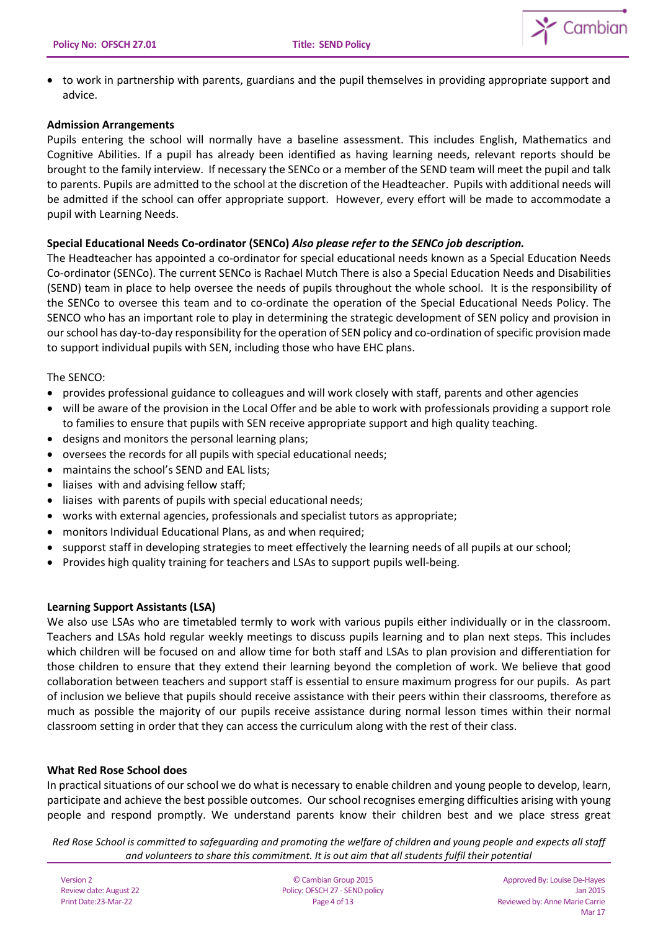

• to work in partnership with parents, guardians and the pupil themselves in providing appropriate support and advice.

# **Admission Arrangements**

Pupils entering the school will normally have a baseline assessment. This includes English, Mathematics and Cognitive Abilities. If a pupil has already been identified as having learning needs, relevant reports should be brought to the family interview. If necessary the SENCo or a member of the SEND team will meet the pupil and talk to parents. Pupils are admitted to the school at the discretion of the Headteacher. Pupils with additional needs will be admitted if the school can offer appropriate support. However, every effort will be made to accommodate a pupil with Learning Needs.

# **Special Educational Needs Co-ordinator (SENCo)** *Also please refer to the SENCo job description.*

The Headteacher has appointed a co-ordinator for special educational needs known as a Special Education Needs Co-ordinator (SENCo). The current SENCo is Rachael Mutch There is also a Special Education Needs and Disabilities (SEND) team in place to help oversee the needs of pupils throughout the whole school. It is the responsibility of the SENCo to oversee this team and to co-ordinate the operation of the Special Educational Needs Policy. The SENCO who has an important role to play in determining the strategic development of SEN policy and provision in our school has day-to-day responsibility for the operation of SEN policy and co-ordination of specific provision made to support individual pupils with SEN, including those who have EHC plans.

# The SENCO:

- provides professional guidance to colleagues and will work closely with staff, parents and other agencies
- will be aware of the provision in the Local Offer and be able to work with professionals providing a support role to families to ensure that pupils with SEN receive appropriate support and high quality teaching.
- designs and monitors the personal learning plans;
- oversees the records for all pupils with special educational needs;
- maintains the school's SEND and EAL lists;
- liaises with and advising fellow staff;
- liaises with parents of pupils with special educational needs;
- works with external agencies, professionals and specialist tutors as appropriate;
- monitors Individual Educational Plans, as and when required;
- supporst staff in developing strategies to meet effectively the learning needs of all pupils at our school;
- Provides high quality training for teachers and LSAs to support pupils well-being.

# **Learning Support Assistants (LSA)**

We also use LSAs who are timetabled termly to work with various pupils either individually or in the classroom. Teachers and LSAs hold regular weekly meetings to discuss pupils learning and to plan next steps. This includes which children will be focused on and allow time for both staff and LSAs to plan provision and differentiation for those children to ensure that they extend their learning beyond the completion of work. We believe that good collaboration between teachers and support staff is essential to ensure maximum progress for our pupils. As part of inclusion we believe that pupils should receive assistance with their peers within their classrooms, therefore as much as possible the majority of our pupils receive assistance during normal lesson times within their normal classroom setting in order that they can access the curriculum along with the rest of their class.

# **What Red Rose School does**

In practical situations of our school we do what is necessary to enable children and young people to develop, learn, participate and achieve the best possible outcomes. Our school recognises emerging difficulties arising with young people and respond promptly. We understand parents know their children best and we place stress great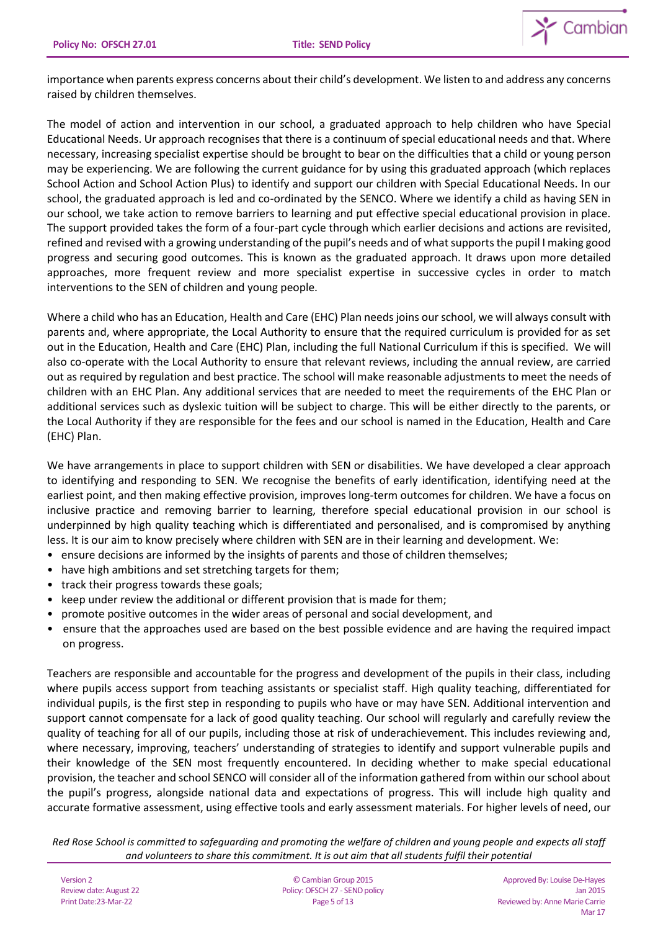

importance when parents express concerns about their child's development. We listen to and address any concerns raised by children themselves.

The model of action and intervention in our school, a graduated approach to help children who have Special Educational Needs. Ur approach recognises that there is a continuum of special educational needs and that. Where necessary, increasing specialist expertise should be brought to bear on the difficulties that a child or young person may be experiencing. We are following the current guidance for by using this graduated approach (which replaces School Action and School Action Plus) to identify and support our children with Special Educational Needs. In our school, the graduated approach is led and co-ordinated by the SENCO. Where we identify a child as having SEN in our school, we take action to remove barriers to learning and put effective special educational provision in place. The support provided takes the form of a four-part cycle through which earlier decisions and actions are revisited, refined and revised with a growing understanding of the pupil's needs and of what supports the pupil I making good progress and securing good outcomes. This is known as the graduated approach. It draws upon more detailed approaches, more frequent review and more specialist expertise in successive cycles in order to match interventions to the SEN of children and young people.

Where a child who has an Education, Health and Care (EHC) Plan needs joins ourschool, we will always consult with parents and, where appropriate, the Local Authority to ensure that the required curriculum is provided for as set out in the Education, Health and Care (EHC) Plan, including the full National Curriculum if this is specified. We will also co-operate with the Local Authority to ensure that relevant reviews, including the annual review, are carried out as required by regulation and best practice. The school will make reasonable adjustments to meet the needs of children with an EHC Plan. Any additional services that are needed to meet the requirements of the EHC Plan or additional services such as dyslexic tuition will be subject to charge. This will be either directly to the parents, or the Local Authority if they are responsible for the fees and our school is named in the Education, Health and Care (EHC) Plan.

We have arrangements in place to support children with SEN or disabilities. We have developed a clear approach to identifying and responding to SEN. We recognise the benefits of early identification, identifying need at the earliest point, and then making effective provision, improves long-term outcomes for children. We have a focus on inclusive practice and removing barrier to learning, therefore special educational provision in our school is underpinned by high quality teaching which is differentiated and personalised, and is compromised by anything less. It is our aim to know precisely where children with SEN are in their learning and development. We:

- ensure decisions are informed by the insights of parents and those of children themselves;
- have high ambitions and set stretching targets for them;
- track their progress towards these goals;
- keep under review the additional or different provision that is made for them;
- promote positive outcomes in the wider areas of personal and social development, and
- ensure that the approaches used are based on the best possible evidence and are having the required impact on progress.

Teachers are responsible and accountable for the progress and development of the pupils in their class, including where pupils access support from teaching assistants or specialist staff. High quality teaching, differentiated for individual pupils, is the first step in responding to pupils who have or may have SEN. Additional intervention and support cannot compensate for a lack of good quality teaching. Our school will regularly and carefully review the quality of teaching for all of our pupils, including those at risk of underachievement. This includes reviewing and, where necessary, improving, teachers' understanding of strategies to identify and support vulnerable pupils and their knowledge of the SEN most frequently encountered. In deciding whether to make special educational provision, the teacher and school SENCO will consider all of the information gathered from within our school about the pupil's progress, alongside national data and expectations of progress. This will include high quality and accurate formative assessment, using effective tools and early assessment materials. For higher levels of need, our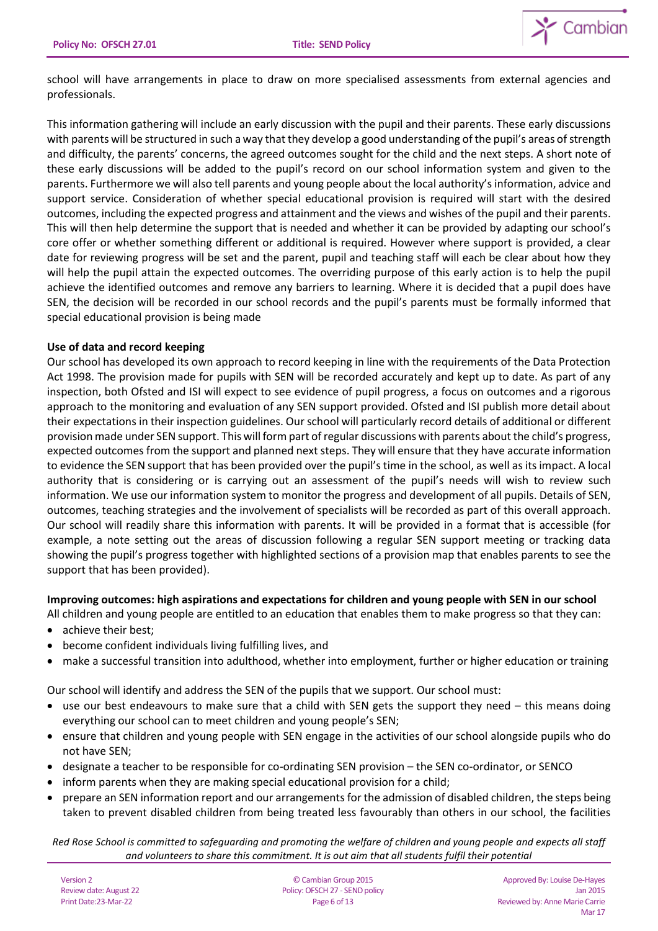

school will have arrangements in place to draw on more specialised assessments from external agencies and professionals.

This information gathering will include an early discussion with the pupil and their parents. These early discussions with parents will be structured in such a way that they develop a good understanding of the pupil's areas of strength and difficulty, the parents' concerns, the agreed outcomes sought for the child and the next steps. A short note of these early discussions will be added to the pupil's record on our school information system and given to the parents. Furthermore we will also tell parents and young people about the local authority's information, advice and support service. Consideration of whether special educational provision is required will start with the desired outcomes, including the expected progress and attainment and the views and wishes of the pupil and their parents. This will then help determine the support that is needed and whether it can be provided by adapting our school's core offer or whether something different or additional is required. However where support is provided, a clear date for reviewing progress will be set and the parent, pupil and teaching staff will each be clear about how they will help the pupil attain the expected outcomes. The overriding purpose of this early action is to help the pupil achieve the identified outcomes and remove any barriers to learning. Where it is decided that a pupil does have SEN, the decision will be recorded in our school records and the pupil's parents must be formally informed that special educational provision is being made

# **Use of data and record keeping**

Our school has developed its own approach to record keeping in line with the requirements of the Data Protection Act 1998. The provision made for pupils with SEN will be recorded accurately and kept up to date. As part of any inspection, both Ofsted and ISI will expect to see evidence of pupil progress, a focus on outcomes and a rigorous approach to the monitoring and evaluation of any SEN support provided. Ofsted and ISI publish more detail about their expectations in their inspection guidelines. Our school will particularly record details of additional or different provision made under SEN support. This will form part of regular discussions with parents about the child's progress, expected outcomes from the support and planned next steps. They will ensure that they have accurate information to evidence the SEN support that has been provided over the pupil's time in the school, as well as its impact. A local authority that is considering or is carrying out an assessment of the pupil's needs will wish to review such information. We use our information system to monitor the progress and development of all pupils. Details of SEN, outcomes, teaching strategies and the involvement of specialists will be recorded as part of this overall approach. Our school will readily share this information with parents. It will be provided in a format that is accessible (for example, a note setting out the areas of discussion following a regular SEN support meeting or tracking data showing the pupil's progress together with highlighted sections of a provision map that enables parents to see the support that has been provided).

### **Improving outcomes: high aspirations and expectations for children and young people with SEN in our school**

- All children and young people are entitled to an education that enables them to make progress so that they can:
- achieve their best:
- become confident individuals living fulfilling lives, and
- make a successful transition into adulthood, whether into employment, further or higher education or training

Our school will identify and address the SEN of the pupils that we support. Our school must:

- use our best endeavours to make sure that a child with SEN gets the support they need this means doing everything our school can to meet children and young people's SEN;
- ensure that children and young people with SEN engage in the activities of our school alongside pupils who do not have SEN;
- designate a teacher to be responsible for co-ordinating SEN provision the SEN co-ordinator, or SENCO
- inform parents when they are making special educational provision for a child;
- prepare an SEN information report and our arrangements for the admission of disabled children, the steps being taken to prevent disabled children from being treated less favourably than others in our school, the facilities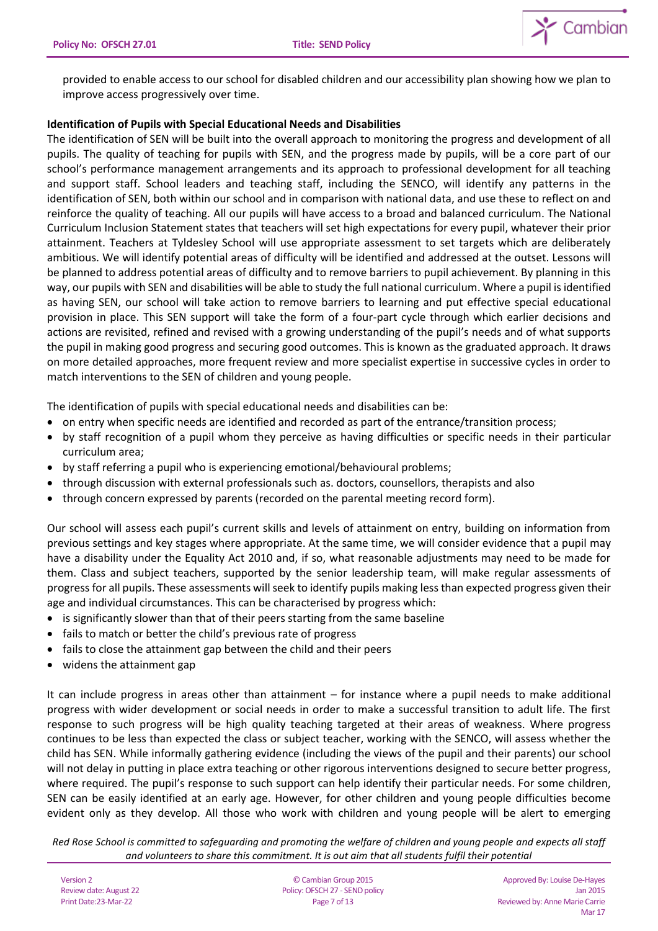

provided to enable access to our school for disabled children and our accessibility plan showing how we plan to improve access progressively over time.

# **Identification of Pupils with Special Educational Needs and Disabilities**

The identification of SEN will be built into the overall approach to monitoring the progress and development of all pupils. The quality of teaching for pupils with SEN, and the progress made by pupils, will be a core part of our school's performance management arrangements and its approach to professional development for all teaching and support staff. School leaders and teaching staff, including the SENCO, will identify any patterns in the identification of SEN, both within our school and in comparison with national data, and use these to reflect on and reinforce the quality of teaching. All our pupils will have access to a broad and balanced curriculum. The National Curriculum Inclusion Statement states that teachers will set high expectations for every pupil, whatever their prior attainment. Teachers at Tyldesley School will use appropriate assessment to set targets which are deliberately ambitious. We will identify potential areas of difficulty will be identified and addressed at the outset. Lessons will be planned to address potential areas of difficulty and to remove barriers to pupil achievement. By planning in this way, our pupils with SEN and disabilities will be able to study the full national curriculum. Where a pupil is identified as having SEN, our school will take action to remove barriers to learning and put effective special educational provision in place. This SEN support will take the form of a four-part cycle through which earlier decisions and actions are revisited, refined and revised with a growing understanding of the pupil's needs and of what supports the pupil in making good progress and securing good outcomes. This is known as the graduated approach. It draws on more detailed approaches, more frequent review and more specialist expertise in successive cycles in order to match interventions to the SEN of children and young people.

The identification of pupils with special educational needs and disabilities can be:

- on entry when specific needs are identified and recorded as part of the entrance/transition process;
- by staff recognition of a pupil whom they perceive as having difficulties or specific needs in their particular curriculum area;
- by staff referring a pupil who is experiencing emotional/behavioural problems;
- through discussion with external professionals such as. doctors, counsellors, therapists and also
- through concern expressed by parents (recorded on the parental meeting record form).

Our school will assess each pupil's current skills and levels of attainment on entry, building on information from previous settings and key stages where appropriate. At the same time, we will consider evidence that a pupil may have a disability under the Equality Act 2010 and, if so, what reasonable adjustments may need to be made for them. Class and subject teachers, supported by the senior leadership team, will make regular assessments of progress for all pupils. These assessments will seek to identify pupils making less than expected progress given their age and individual circumstances. This can be characterised by progress which:

- is significantly slower than that of their peers starting from the same baseline
- fails to match or better the child's previous rate of progress
- fails to close the attainment gap between the child and their peers
- widens the attainment gap

It can include progress in areas other than attainment – for instance where a pupil needs to make additional progress with wider development or social needs in order to make a successful transition to adult life. The first response to such progress will be high quality teaching targeted at their areas of weakness. Where progress continues to be less than expected the class or subject teacher, working with the SENCO, will assess whether the child has SEN. While informally gathering evidence (including the views of the pupil and their parents) our school will not delay in putting in place extra teaching or other rigorous interventions designed to secure better progress, where required. The pupil's response to such support can help identify their particular needs. For some children, SEN can be easily identified at an early age. However, for other children and young people difficulties become evident only as they develop. All those who work with children and young people will be alert to emerging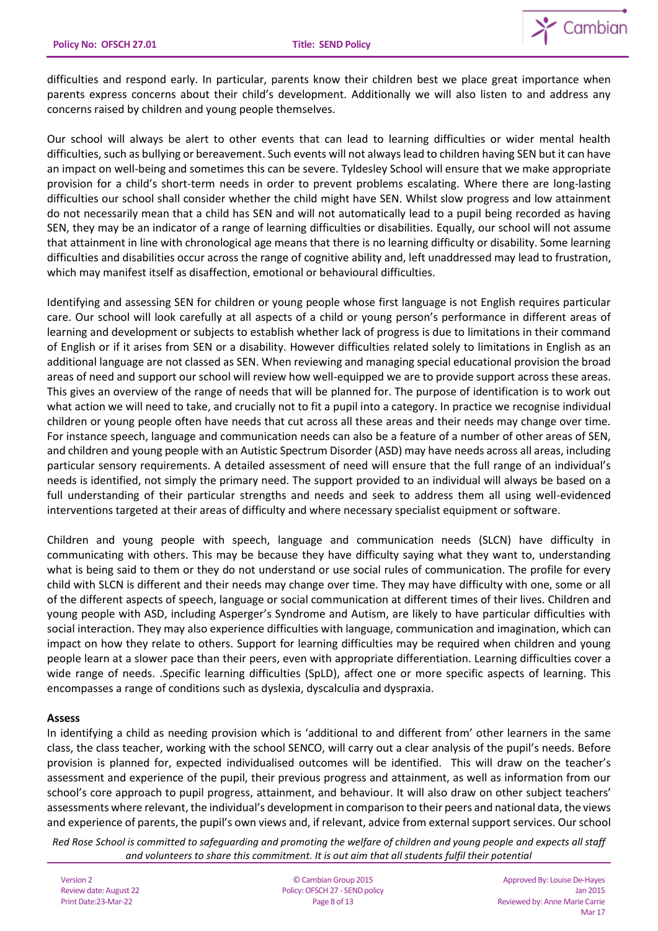

difficulties and respond early. In particular, parents know their children best we place great importance when parents express concerns about their child's development. Additionally we will also listen to and address any concerns raised by children and young people themselves.

Our school will always be alert to other events that can lead to learning difficulties or wider mental health difficulties, such as bullying or bereavement. Such events will not always lead to children having SEN but it can have an impact on well-being and sometimes this can be severe. Tyldesley School will ensure that we make appropriate provision for a child's short-term needs in order to prevent problems escalating. Where there are long-lasting difficulties our school shall consider whether the child might have SEN. Whilst slow progress and low attainment do not necessarily mean that a child has SEN and will not automatically lead to a pupil being recorded as having SEN, they may be an indicator of a range of learning difficulties or disabilities. Equally, our school will not assume that attainment in line with chronological age means that there is no learning difficulty or disability. Some learning difficulties and disabilities occur across the range of cognitive ability and, left unaddressed may lead to frustration, which may manifest itself as disaffection, emotional or behavioural difficulties.

Identifying and assessing SEN for children or young people whose first language is not English requires particular care. Our school will look carefully at all aspects of a child or young person's performance in different areas of learning and development or subjects to establish whether lack of progress is due to limitations in their command of English or if it arises from SEN or a disability. However difficulties related solely to limitations in English as an additional language are not classed as SEN. When reviewing and managing special educational provision the broad areas of need and support our school will review how well-equipped we are to provide support across these areas. This gives an overview of the range of needs that will be planned for. The purpose of identification is to work out what action we will need to take, and crucially not to fit a pupil into a category. In practice we recognise individual children or young people often have needs that cut across all these areas and their needs may change over time. For instance speech, language and communication needs can also be a feature of a number of other areas of SEN, and children and young people with an Autistic Spectrum Disorder (ASD) may have needs across all areas, including particular sensory requirements. A detailed assessment of need will ensure that the full range of an individual's needs is identified, not simply the primary need. The support provided to an individual will always be based on a full understanding of their particular strengths and needs and seek to address them all using well-evidenced interventions targeted at their areas of difficulty and where necessary specialist equipment or software.

Children and young people with speech, language and communication needs (SLCN) have difficulty in communicating with others. This may be because they have difficulty saying what they want to, understanding what is being said to them or they do not understand or use social rules of communication. The profile for every child with SLCN is different and their needs may change over time. They may have difficulty with one, some or all of the different aspects of speech, language or social communication at different times of their lives. Children and young people with ASD, including Asperger's Syndrome and Autism, are likely to have particular difficulties with social interaction. They may also experience difficulties with language, communication and imagination, which can impact on how they relate to others. Support for learning difficulties may be required when children and young people learn at a slower pace than their peers, even with appropriate differentiation. Learning difficulties cover a wide range of needs. .Specific learning difficulties (SpLD), affect one or more specific aspects of learning. This encompasses a range of conditions such as dyslexia, dyscalculia and dyspraxia.

### **Assess**

In identifying a child as needing provision which is 'additional to and different from' other learners in the same class, the class teacher, working with the school SENCO, will carry out a clear analysis of the pupil's needs. Before provision is planned for, expected individualised outcomes will be identified. This will draw on the teacher's assessment and experience of the pupil, their previous progress and attainment, as well as information from our school's core approach to pupil progress, attainment, and behaviour. It will also draw on other subject teachers' assessments where relevant, the individual's development in comparison to their peers and national data, the views and experience of parents, the pupil's own views and, if relevant, advice from external support services. Our school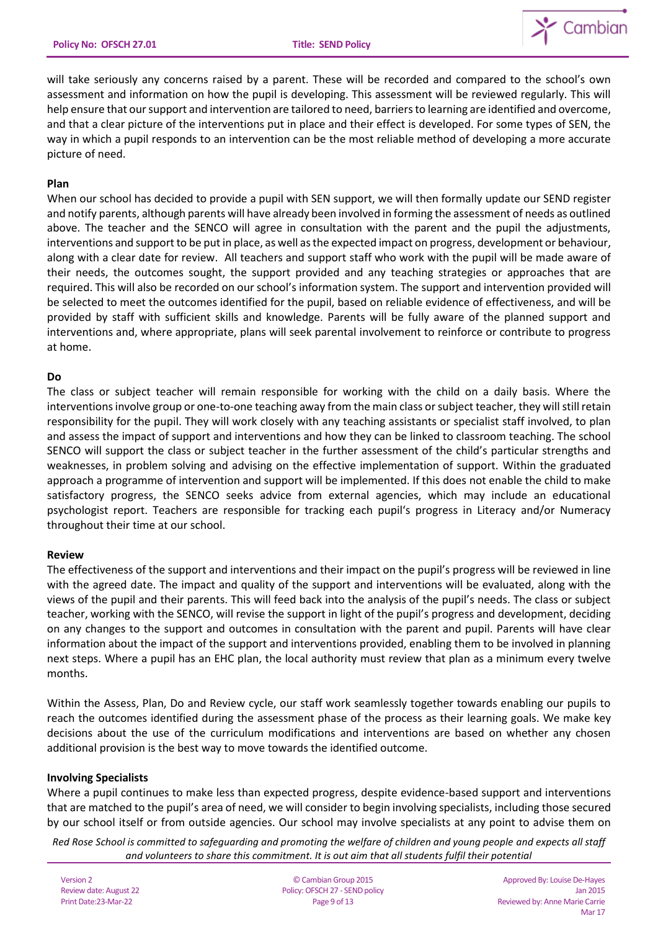

will take seriously any concerns raised by a parent. These will be recorded and compared to the school's own assessment and information on how the pupil is developing. This assessment will be reviewed regularly. This will help ensure that our support and intervention are tailored to need, barriers to learning are identified and overcome, and that a clear picture of the interventions put in place and their effect is developed. For some types of SEN, the way in which a pupil responds to an intervention can be the most reliable method of developing a more accurate picture of need.

## **Plan**

When our school has decided to provide a pupil with SEN support, we will then formally update our SEND register and notify parents, although parents will have already been involved in forming the assessment of needs as outlined above. The teacher and the SENCO will agree in consultation with the parent and the pupil the adjustments, interventions and support to be put in place, as well as the expected impact on progress, development or behaviour, along with a clear date for review. All teachers and support staff who work with the pupil will be made aware of their needs, the outcomes sought, the support provided and any teaching strategies or approaches that are required. This will also be recorded on our school's information system. The support and intervention provided will be selected to meet the outcomes identified for the pupil, based on reliable evidence of effectiveness, and will be provided by staff with sufficient skills and knowledge. Parents will be fully aware of the planned support and interventions and, where appropriate, plans will seek parental involvement to reinforce or contribute to progress at home.

## **Do**

The class or subject teacher will remain responsible for working with the child on a daily basis. Where the interventions involve group or one-to-one teaching away from the main class or subject teacher, they will still retain responsibility for the pupil. They will work closely with any teaching assistants or specialist staff involved, to plan and assess the impact of support and interventions and how they can be linked to classroom teaching. The school SENCO will support the class or subject teacher in the further assessment of the child's particular strengths and weaknesses, in problem solving and advising on the effective implementation of support. Within the graduated approach a programme of intervention and support will be implemented. If this does not enable the child to make satisfactory progress, the SENCO seeks advice from external agencies, which may include an educational psychologist report. Teachers are responsible for tracking each pupil's progress in Literacy and/or Numeracy throughout their time at our school.

# **Review**

The effectiveness of the support and interventions and their impact on the pupil's progress will be reviewed in line with the agreed date. The impact and quality of the support and interventions will be evaluated, along with the views of the pupil and their parents. This will feed back into the analysis of the pupil's needs. The class or subject teacher, working with the SENCO, will revise the support in light of the pupil's progress and development, deciding on any changes to the support and outcomes in consultation with the parent and pupil. Parents will have clear information about the impact of the support and interventions provided, enabling them to be involved in planning next steps. Where a pupil has an EHC plan, the local authority must review that plan as a minimum every twelve months.

Within the Assess, Plan, Do and Review cycle, our staff work seamlessly together towards enabling our pupils to reach the outcomes identified during the assessment phase of the process as their learning goals. We make key decisions about the use of the curriculum modifications and interventions are based on whether any chosen additional provision is the best way to move towards the identified outcome.

# **Involving Specialists**

Where a pupil continues to make less than expected progress, despite evidence-based support and interventions that are matched to the pupil's area of need, we will consider to begin involving specialists, including those secured by our school itself or from outside agencies. Our school may involve specialists at any point to advise them on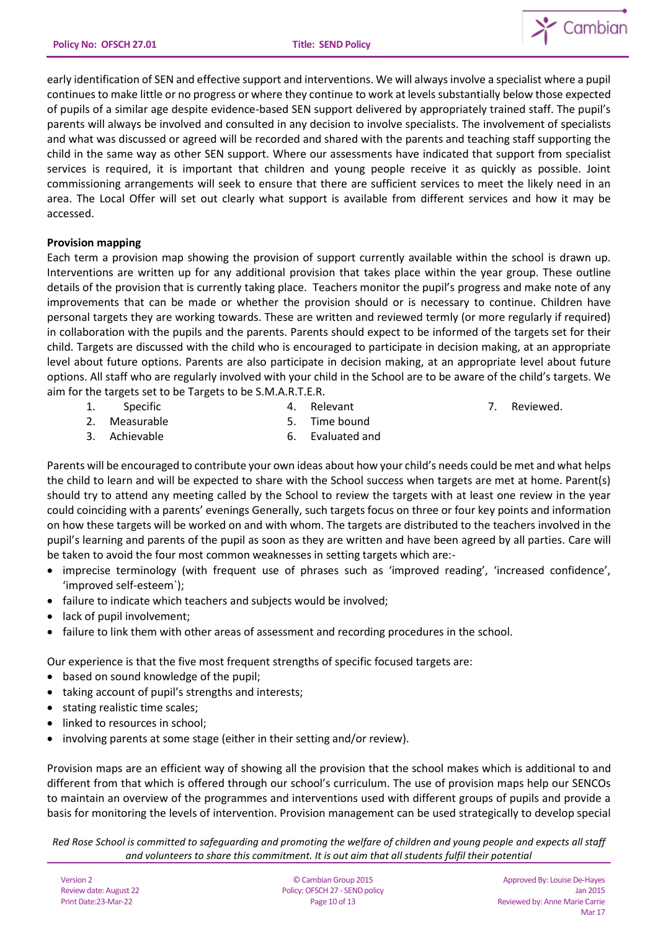

early identification of SEN and effective support and interventions. We will always involve a specialist where a pupil continues to make little or no progress or where they continue to work at levels substantially below those expected of pupils of a similar age despite evidence-based SEN support delivered by appropriately trained staff. The pupil's parents will always be involved and consulted in any decision to involve specialists. The involvement of specialists and what was discussed or agreed will be recorded and shared with the parents and teaching staff supporting the child in the same way as other SEN support. Where our assessments have indicated that support from specialist services is required, it is important that children and young people receive it as quickly as possible. Joint commissioning arrangements will seek to ensure that there are sufficient services to meet the likely need in an area. The Local Offer will set out clearly what support is available from different services and how it may be accessed.

# **Provision mapping**

Each term a provision map showing the provision of support currently available within the school is drawn up. Interventions are written up for any additional provision that takes place within the year group. These outline details of the provision that is currently taking place. Teachers monitor the pupil's progress and make note of any improvements that can be made or whether the provision should or is necessary to continue. Children have personal targets they are working towards. These are written and reviewed termly (or more regularly if required) in collaboration with the pupils and the parents. Parents should expect to be informed of the targets set for their child. Targets are discussed with the child who is encouraged to participate in decision making, at an appropriate level about future options. Parents are also participate in decision making, at an appropriate level about future options. All staff who are regularly involved with your child in the School are to be aware of the child's targets. We aim for the targets set to be Targets to be S.M.A.R.T.E.R.

- 1. Specific
- 4. Relevant

7. Reviewed.

- 2. Measurable
- 5. Time bound

6. Evaluated and

3. Achievable

Parents will be encouraged to contribute your own ideas about how your child's needs could be met and what helps the child to learn and will be expected to share with the School success when targets are met at home. Parent(s) should try to attend any meeting called by the School to review the targets with at least one review in the year could coinciding with a parents' evenings Generally, such targets focus on three or four key points and information on how these targets will be worked on and with whom. The targets are distributed to the teachers involved in the pupil's learning and parents of the pupil as soon as they are written and have been agreed by all parties. Care will be taken to avoid the four most common weaknesses in setting targets which are:-

- imprecise terminology (with frequent use of phrases such as 'improved reading', 'increased confidence', 'improved self-esteem`);
- failure to indicate which teachers and subjects would be involved;
- lack of pupil involvement;
- failure to link them with other areas of assessment and recording procedures in the school.

Our experience is that the five most frequent strengths of specific focused targets are:

- based on sound knowledge of the pupil;
- taking account of pupil's strengths and interests;
- stating realistic time scales;
- linked to resources in school:
- involving parents at some stage (either in their setting and/or review).

Provision maps are an efficient way of showing all the provision that the school makes which is additional to and different from that which is offered through our school's curriculum. The use of provision maps help our SENCOs to maintain an overview of the programmes and interventions used with different groups of pupils and provide a basis for monitoring the levels of intervention. Provision management can be used strategically to develop special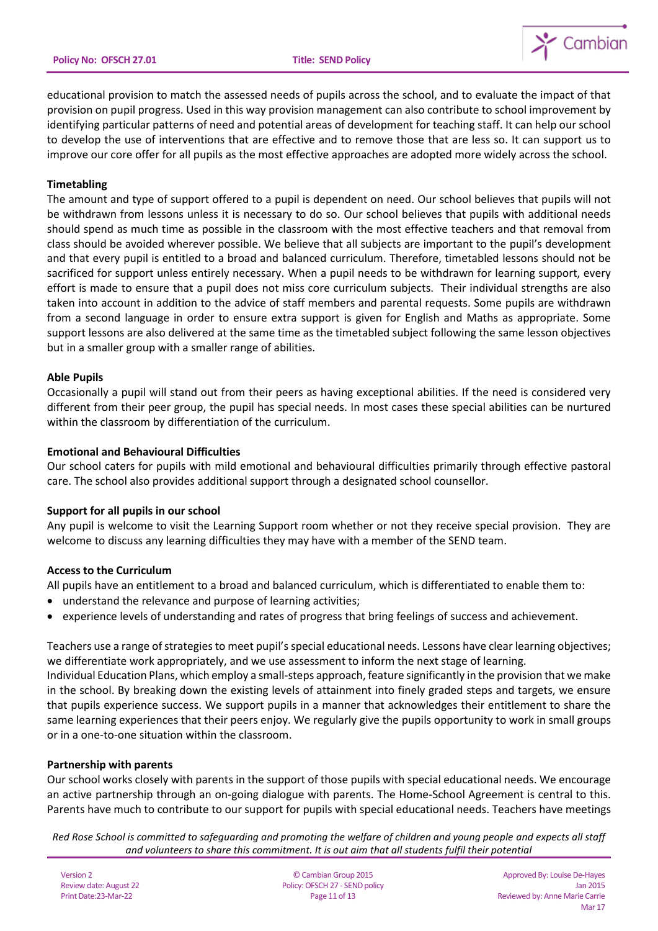

educational provision to match the assessed needs of pupils across the school, and to evaluate the impact of that provision on pupil progress. Used in this way provision management can also contribute to school improvement by identifying particular patterns of need and potential areas of development for teaching staff. It can help our school to develop the use of interventions that are effective and to remove those that are less so. It can support us to improve our core offer for all pupils as the most effective approaches are adopted more widely across the school.

## **Timetabling**

The amount and type of support offered to a pupil is dependent on need. Our school believes that pupils will not be withdrawn from lessons unless it is necessary to do so. Our school believes that pupils with additional needs should spend as much time as possible in the classroom with the most effective teachers and that removal from class should be avoided wherever possible. We believe that all subjects are important to the pupil's development and that every pupil is entitled to a broad and balanced curriculum. Therefore, timetabled lessons should not be sacrificed for support unless entirely necessary. When a pupil needs to be withdrawn for learning support, every effort is made to ensure that a pupil does not miss core curriculum subjects. Their individual strengths are also taken into account in addition to the advice of staff members and parental requests. Some pupils are withdrawn from a second language in order to ensure extra support is given for English and Maths as appropriate. Some support lessons are also delivered at the same time as the timetabled subject following the same lesson objectives but in a smaller group with a smaller range of abilities.

### **Able Pupils**

Occasionally a pupil will stand out from their peers as having exceptional abilities. If the need is considered very different from their peer group, the pupil has special needs. In most cases these special abilities can be nurtured within the classroom by differentiation of the curriculum.

## **Emotional and Behavioural Difficulties**

Our school caters for pupils with mild emotional and behavioural difficulties primarily through effective pastoral care. The school also provides additional support through a designated school counsellor.

# **Support for all pupils in our school**

Any pupil is welcome to visit the Learning Support room whether or not they receive special provision. They are welcome to discuss any learning difficulties they may have with a member of the SEND team.

# **Access to the Curriculum**

All pupils have an entitlement to a broad and balanced curriculum, which is differentiated to enable them to:

- understand the relevance and purpose of learning activities;
- experience levels of understanding and rates of progress that bring feelings of success and achievement.

Teachers use a range of strategies to meet pupil's special educational needs. Lessons have clear learning objectives; we differentiate work appropriately, and we use assessment to inform the next stage of learning.

Individual Education Plans, which employ a small-steps approach, feature significantly in the provision that we make in the school. By breaking down the existing levels of attainment into finely graded steps and targets, we ensure that pupils experience success. We support pupils in a manner that acknowledges their entitlement to share the same learning experiences that their peers enjoy. We regularly give the pupils opportunity to work in small groups or in a one-to-one situation within the classroom.

### **Partnership with parents**

Our school works closely with parents in the support of those pupils with special educational needs. We encourage an active partnership through an on-going dialogue with parents. The Home-School Agreement is central to this. Parents have much to contribute to our support for pupils with special educational needs. Teachers have meetings

*Red Rose School is committed to safeguarding and promoting the welfare of children and young people and expects all staff and volunteers to share this commitment. It is out aim that all students fulfil their potential*

Version 2 Review date: August 22 Print Date:23-Mar-22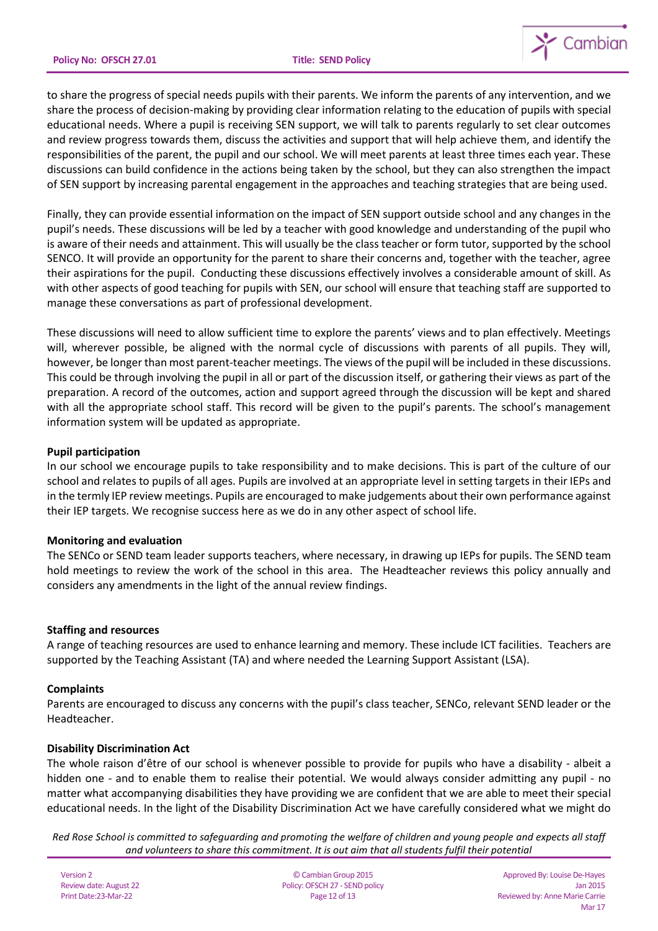

to share the progress of special needs pupils with their parents. We inform the parents of any intervention, and we share the process of decision-making by providing clear information relating to the education of pupils with special educational needs. Where a pupil is receiving SEN support, we will talk to parents regularly to set clear outcomes and review progress towards them, discuss the activities and support that will help achieve them, and identify the responsibilities of the parent, the pupil and our school. We will meet parents at least three times each year. These discussions can build confidence in the actions being taken by the school, but they can also strengthen the impact of SEN support by increasing parental engagement in the approaches and teaching strategies that are being used.

Finally, they can provide essential information on the impact of SEN support outside school and any changes in the pupil's needs. These discussions will be led by a teacher with good knowledge and understanding of the pupil who is aware of their needs and attainment. This will usually be the class teacher or form tutor, supported by the school SENCO. It will provide an opportunity for the parent to share their concerns and, together with the teacher, agree their aspirations for the pupil. Conducting these discussions effectively involves a considerable amount of skill. As with other aspects of good teaching for pupils with SEN, our school will ensure that teaching staff are supported to manage these conversations as part of professional development.

These discussions will need to allow sufficient time to explore the parents' views and to plan effectively. Meetings will, wherever possible, be aligned with the normal cycle of discussions with parents of all pupils. They will, however, be longer than most parent-teacher meetings. The views of the pupil will be included in these discussions. This could be through involving the pupil in all or part of the discussion itself, or gathering their views as part of the preparation. A record of the outcomes, action and support agreed through the discussion will be kept and shared with all the appropriate school staff. This record will be given to the pupil's parents. The school's management information system will be updated as appropriate.

## **Pupil participation**

In our school we encourage pupils to take responsibility and to make decisions. This is part of the culture of our school and relates to pupils of all ages. Pupils are involved at an appropriate level in setting targets in their IEPs and in the termly IEP review meetings. Pupils are encouraged to make judgements about their own performance against their IEP targets. We recognise success here as we do in any other aspect of school life.

### **Monitoring and evaluation**

The SENCo or SEND team leader supports teachers, where necessary, in drawing up IEPs for pupils. The SEND team hold meetings to review the work of the school in this area. The Headteacher reviews this policy annually and considers any amendments in the light of the annual review findings.

### **Staffing and resources**

A range of teaching resources are used to enhance learning and memory. These include ICT facilities. Teachers are supported by the Teaching Assistant (TA) and where needed the Learning Support Assistant (LSA).

### **Complaints**

Parents are encouraged to discuss any concerns with the pupil's class teacher, SENCo, relevant SEND leader or the Headteacher.

### **Disability Discrimination Act**

The whole raison d'être of our school is whenever possible to provide for pupils who have a disability - albeit a hidden one - and to enable them to realise their potential. We would always consider admitting any pupil - no matter what accompanying disabilities they have providing we are confident that we are able to meet their special educational needs. In the light of the Disability Discrimination Act we have carefully considered what we might do

*Red Rose School is committed to safeguarding and promoting the welfare of children and young people and expects all staff and volunteers to share this commitment. It is out aim that all students fulfil their potential*

Version 2 Review date: August 22 Print Date:23-Mar-22